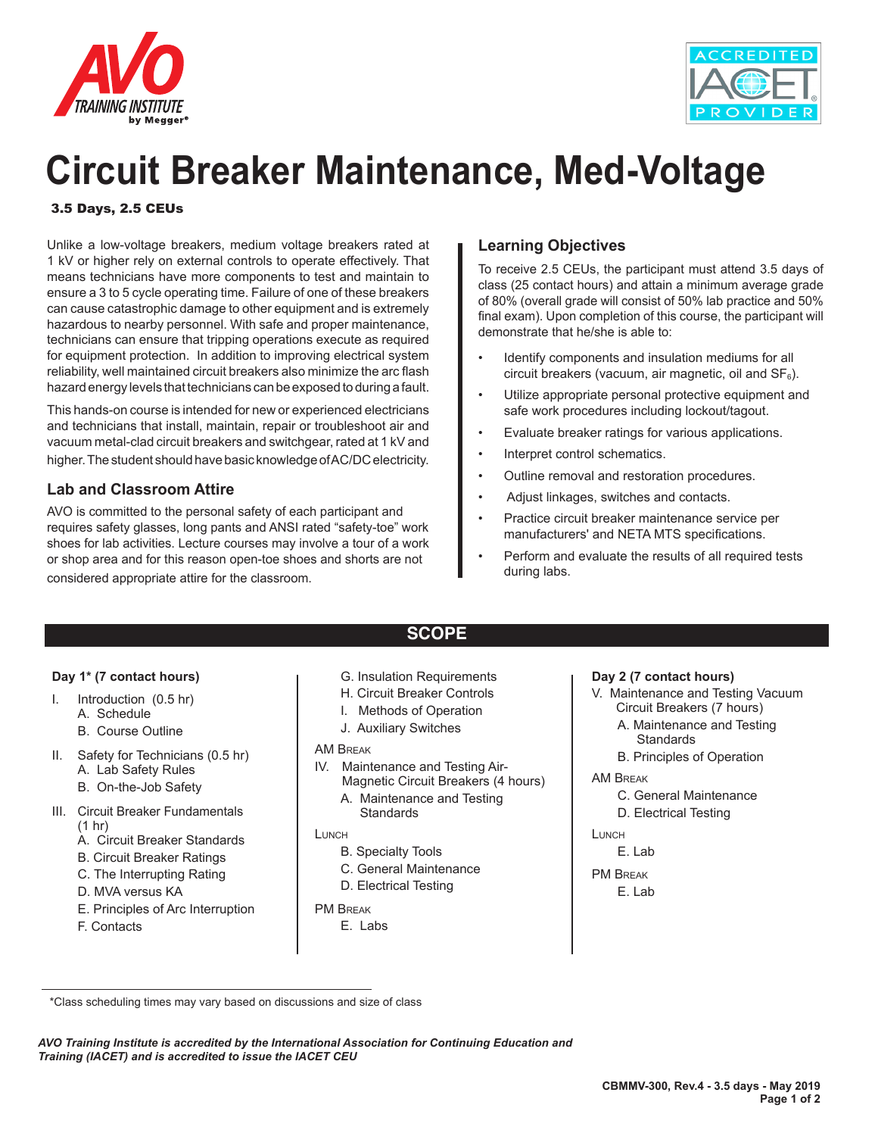



## **Circuit Breaker Maintenance, Med-Voltage**

### 3.5 Days, 2.5 CEUs

Unlike a low-voltage breakers, medium voltage breakers rated at 1 kV or higher rely on external controls to operate effectively. That means technicians have more components to test and maintain to ensure a 3 to 5 cycle operating time. Failure of one of these breakers can cause catastrophic damage to other equipment and is extremely hazardous to nearby personnel. With safe and proper maintenance, technicians can ensure that tripping operations execute as required for equipment protection. In addition to improving electrical system reliability, well maintained circuit breakers also minimize the arc flash hazard energy levels that technicians can be exposed to during a fault.

This hands-on course is intended for new or experienced electricians and technicians that install, maintain, repair or troubleshoot air and vacuum metal-clad circuit breakers and switchgear, rated at 1 kV and higher. The student should have basic knowledge of AC/DC electricity.

### **Lab and Classroom Attire**

AVO is committed to the personal safety of each participant and requires safety glasses, long pants and ANSI rated "safety-toe" work shoes for lab activities. Lecture courses may involve a tour of a work or shop area and for this reason open-toe shoes and shorts are not considered appropriate attire for the classroom.

### **Learning Objectives**

To receive 2.5 CEUs, the participant must attend 3.5 days of class (25 contact hours) and attain a minimum average grade of 80% (overall grade will consist of 50% lab practice and 50% final exam). Upon completion of this course, the participant will demonstrate that he/she is able to:

- Identify components and insulation mediums for all circuit breakers (vacuum, air magnetic, oil and  $SF<sub>6</sub>$ ).
- Utilize appropriate personal protective equipment and safe work procedures including lockout/tagout.
- Evaluate breaker ratings for various applications.
- Interpret control schematics.
- Outline removal and restoration procedures.
- Adjust linkages, switches and contacts.
- Practice circuit breaker maintenance service per manufacturers' and NETA MTS specifications.
- Perform and evaluate the results of all required tests during labs.

### **Day 1\* (7 contact hours)**

- I. Introduction (0.5 hr)
	- A. Schedule
	- B. Course Outline
- II. Safety for Technicians (0.5 hr) A. Lab Safety Rules
	- B. On-the-Job Safety
- III. Circuit Breaker Fundamentals (1 hr)
	- A. Circuit Breaker Standards
	- B. Circuit Breaker Ratings
	- C. The Interrupting Rating
	- D. MVA versus KA
	- E. Principles of Arc Interruption
	- F. Contacts

G. Insulation Requirements

**SCOPE**

- H. Circuit Breaker Controls
- I. Methods of Operation
- J. Auxiliary Switches

### AM Break

- IV. Maintenance and Testing Air-
	- Magnetic Circuit Breakers (4 hours) A. Maintenance and Testing **Standards**

### **LUNCH**

- B. Specialty Tools
- C. General Maintenance
- D. Electrical Testing
- PM Break
	- E. Labs

### **Day 2 (7 contact hours)**

- V. Maintenance and Testing Vacuum Circuit Breakers (7 hours)
	- A. Maintenance and Testing **Standards**
- B. Principles of Operation

### AM Break

- C. General Maintenance
- D. Electrical Testing

LUNCH

E. Lab

PM Break

E. Lab

*AVO Training Institute is accredited by the International Association for Continuing Education and Training (IACET) and is accredited to issue the IACET CEU*

 <sup>\*</sup>Class scheduling times may vary based on discussions and size of class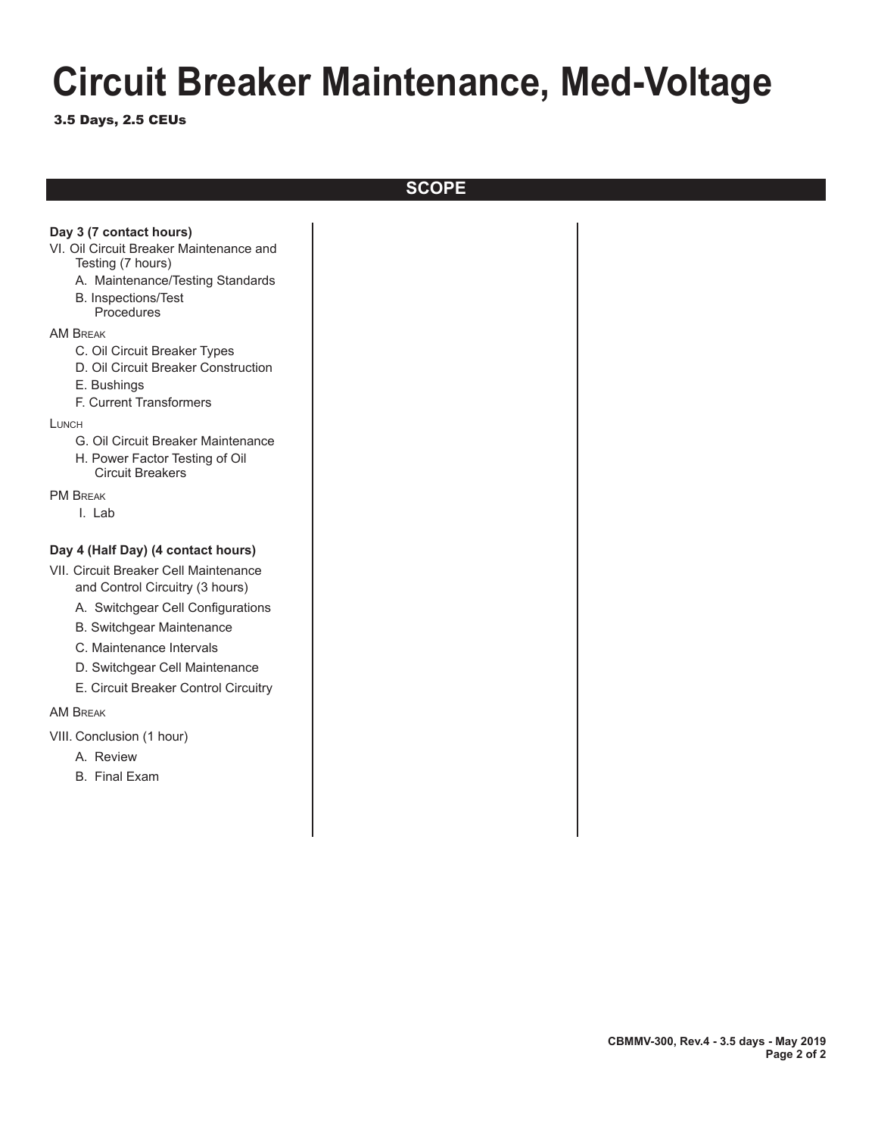# **Circuit Breaker Maintenance, Med-Voltage**

3.5 Days, 2.5 CEUs

**SCOPE**

| Day 3 (7 contact hours)<br>VI. Oil Circuit Breaker Maintenance and<br>Testing (7 hours)<br>A. Maintenance/Testing Standards<br><b>B.</b> Inspections/Test<br>Procedures<br><b>AM BREAK</b>                                                                                                    |
|-----------------------------------------------------------------------------------------------------------------------------------------------------------------------------------------------------------------------------------------------------------------------------------------------|
| C. Oil Circuit Breaker Types<br>D. Oil Circuit Breaker Construction<br>E. Bushings<br>F. Current Transformers                                                                                                                                                                                 |
| LUNCH<br>G. Oil Circuit Breaker Maintenance<br>H. Power Factor Testing of Oil<br><b>Circuit Breakers</b>                                                                                                                                                                                      |
| <b>PM BREAK</b><br>I. Lab                                                                                                                                                                                                                                                                     |
| Day 4 (Half Day) (4 contact hours)<br>VII. Circuit Breaker Cell Maintenance<br>and Control Circuitry (3 hours)<br>A. Switchgear Cell Configurations<br><b>B. Switchgear Maintenance</b><br>C. Maintenance Intervals<br>D. Switchgear Cell Maintenance<br>E. Circuit Breaker Control Circuitry |
| <b>AM BREAK</b><br>VIII. Conclusion (1 hour)<br>A. Review<br><b>B.</b> Final Exam                                                                                                                                                                                                             |